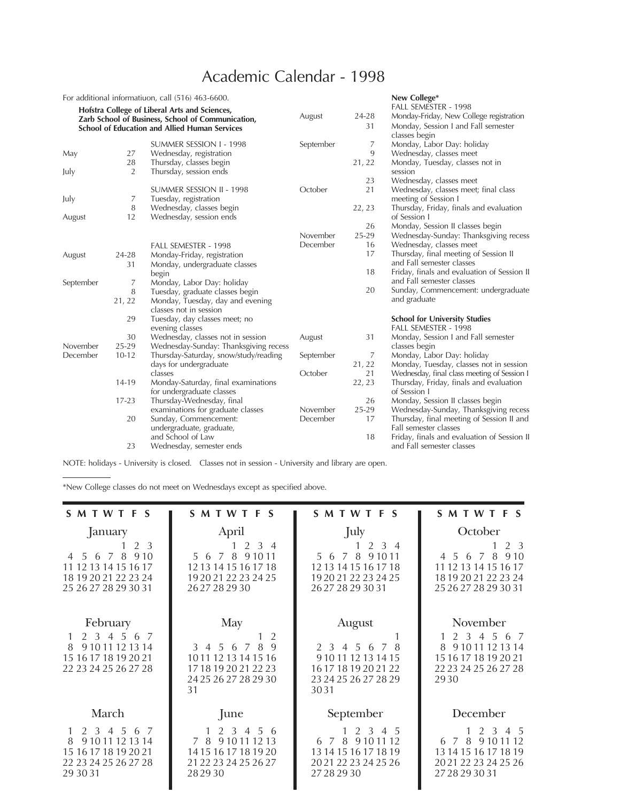## Academic Calendar - 1998

|                                                   |           | For additional informatiuon, call (516) 463-6600.    |           |          | New College*                                                    |
|---------------------------------------------------|-----------|------------------------------------------------------|-----------|----------|-----------------------------------------------------------------|
|                                                   |           | Hofstra College of Liberal Arts and Sciences,        |           |          | FALL SEMESTER - 1998                                            |
| Zarb School of Business, School of Communication, |           |                                                      | August    | 24-28    | Monday-Friday, New College registration                         |
|                                                   |           | <b>School of Education and Allied Human Services</b> |           | 31       | Monday, Session I and Fall semester                             |
|                                                   |           |                                                      |           |          | classes begin                                                   |
|                                                   |           | SUMMER SESSION I - 1998                              | September | 7        | Monday, Labor Day: holiday                                      |
| May                                               | 27        | Wednesday, registration                              |           | 9        | Wednesday, classes meet                                         |
|                                                   | 28        | Thursday, classes begin                              |           | 21, 22   | Monday, Tuesday, classes not in                                 |
| July                                              | 2         | Thursday, session ends                               |           |          | session                                                         |
|                                                   |           |                                                      |           | 23<br>21 | Wednesday, classes meet                                         |
|                                                   |           | SUMMER SESSION II - 1998                             | October   |          | Wednesday, classes meet; final class                            |
| July                                              | 7<br>8    | Tuesday, registration<br>Wednesday, classes begin    |           | 22, 23   | meeting of Session I<br>Thursday, Friday, finals and evaluation |
|                                                   | 12        | Wednesday, session ends                              |           |          | of Session I                                                    |
| August                                            |           |                                                      |           | 26       | Monday, Session II classes begin                                |
|                                                   |           |                                                      | November  | 25-29    | Wednesday-Sunday: Thanksgiving recess                           |
|                                                   |           | FALL SEMESTER - 1998                                 | December  | 16       | Wednesday, classes meet                                         |
|                                                   | 24-28     | Monday-Friday, registration                          |           | 17       | Thursday, final meeting of Session II                           |
| August                                            | 31        | Monday, undergraduate classes                        |           |          | and Fall semester classes                                       |
|                                                   |           | begin                                                |           | 18       | Friday, finals and evaluation of Session II                     |
| September                                         | 7         | Monday, Labor Day: holiday                           |           |          | and Fall semester classes                                       |
|                                                   | 8         | Tuesday, graduate classes begin                      |           | 20       | Sunday, Commencement: undergraduate                             |
|                                                   | 21, 22    | Monday, Tuesday, day and evening                     |           |          | and graduate                                                    |
|                                                   |           | classes not in session                               |           |          |                                                                 |
|                                                   | 29        | Tuesday, day classes meet; no                        |           |          | <b>School for University Studies</b>                            |
|                                                   |           | evening classes                                      |           |          | FALL SEMESTER - 1998                                            |
|                                                   | 30        | Wednesday, classes not in session                    | August    | 31       | Monday, Session I and Fall semester                             |
| November                                          | 25-29     | Wednesday-Sunday: Thanksgiving recess                |           |          | classes begin                                                   |
| December                                          | $10 - 12$ | Thursday-Saturday, snow/study/reading                | September | 7        | Monday, Labor Day: holiday                                      |
|                                                   |           | days for undergraduate                               |           | 21, 22   | Monday, Tuesday, classes not in session                         |
|                                                   |           | classes                                              | October   | 21       | Wednesday, final class meeting of Session I                     |
|                                                   | 14-19     | Monday-Saturday, final examinations                  |           | 22, 23   | Thursday, Friday, finals and evaluation                         |
|                                                   |           | for undergraduate classes                            |           |          | of Session I                                                    |
|                                                   | $17 - 23$ | Thursday-Wednesday, final                            |           | 26       | Monday, Session II classes begin                                |
|                                                   |           | examinations for graduate classes                    | November  | 25-29    | Wednesday-Sunday, Thanksgiving recess                           |
|                                                   | 20        | Sunday, Commencement:                                | December  | 17       | Thursday, final meeting of Session II and                       |
|                                                   |           | undergraduate, graduate,                             |           |          | Fall semester classes                                           |
|                                                   |           | and School of Law                                    |           | 18       | Friday, finals and evaluation of Session II                     |
|                                                   | 23        | Wednesday, semester ends                             |           |          | and Fall semester classes                                       |

NOTE: holidays - University is closed. Classes not in session - University and library are open.

\*New College classes do not meet on Wednesdays except as specified above.

| SMTWTFS                                                                                                                               | <b>SMTWTFS</b>                                                                                                                            | <b>SMTWTFS</b>                                                                                                                           | <b>SMTWTFS</b>                                                                                                                 |
|---------------------------------------------------------------------------------------------------------------------------------------|-------------------------------------------------------------------------------------------------------------------------------------------|------------------------------------------------------------------------------------------------------------------------------------------|--------------------------------------------------------------------------------------------------------------------------------|
| January<br>2 3<br>8<br>9.10<br>7<br>-5<br>6<br>$\overline{4}$<br>11 12 13 14 15 16 17<br>18 19 20 21 22 23 24<br>25 26 27 28 29 30 31 | April<br>2 3 4<br>5 6 7 8<br>9 1 0 1 1<br>12 13 14 15 16 17 18<br>19 20 21 22 23 24 25<br>2627282930                                      | July<br>$2 \t3 \t4$<br>8<br>9 1 0 1 1<br>567<br>12 13 14 15 16 17 18<br>19 20 21 22 23 24 25<br>262728293031                             | October<br>2 3<br>8<br>5 6 7<br>9.10<br>$\overline{4}$<br>11 12 13 14 15 16 17<br>18 19 20 21 22 23 24<br>25 26 27 28 29 30 31 |
| February<br>2 3 4 5<br>- 6<br>- 7<br>9 10 11 12 13 14<br>8<br>15 16 17 18 19 20 21<br>22 23 24 25 26 27 28                            | May<br>$\overline{2}$<br>$\mathbf{Q}$<br>8<br>3 4 5 6<br>7<br>10 11 12 13 14 15 16<br>17 18 19 20 21 22 23<br>24 25 26 27 28 29 30<br>31  | August<br>3 4 5 6<br>8<br>$\overline{7}$<br>$\mathcal{P}$<br>9 10 11 12 13 14 15<br>16 17 18 19 20 21 22<br>23 24 25 26 27 28 29<br>3031 | November<br>2 3 4 5 6 7<br>9 10 11 12 13 14<br>8<br>15 16 17 18 19 20 21<br>22 23 24 25 26 27 28<br>29.30                      |
| March<br>2 3 4 5<br>6 7<br>9 10 11 12 13 14<br>8<br>15 16 17 18 19 20 21<br>22 23 24 25 26 27 28<br>29 30 31                          | June<br>2 <sub>3</sub><br>$\overline{4}$<br>.5.<br>-6<br>7 8<br>9 10 11 12 13<br>14 15 16 17 18 19 20<br>21 22 23 24 25 26 27<br>28 29 30 | September<br>2 3 4 5<br>9 10 11 12<br>8<br>6<br>7<br>13 14 15 16 17 18 19<br>2021 22 23 24 25 26<br>27282930                             | December<br>2 3 4 5<br>8<br>$\overline{7}$<br>9 10 11 12<br>6<br>13 14 15 16 17 18 19<br>2021 22 23 24 25 26<br>27 28 29 30 31 |